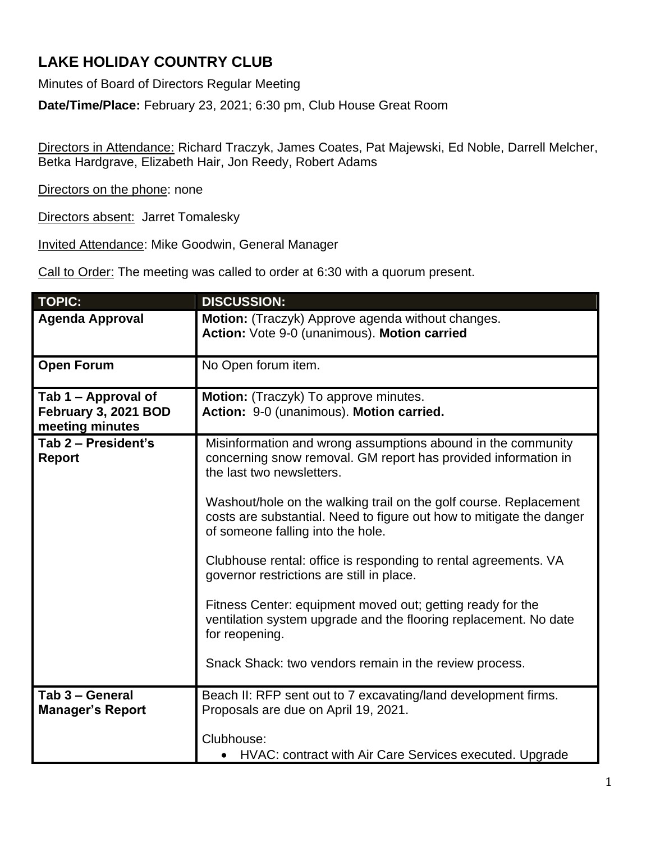## **LAKE HOLIDAY COUNTRY CLUB**

Minutes of Board of Directors Regular Meeting

**Date/Time/Place:** February 23, 2021; 6:30 pm, Club House Great Room

Directors in Attendance: Richard Traczyk, James Coates, Pat Majewski, Ed Noble, Darrell Melcher, Betka Hardgrave, Elizabeth Hair, Jon Reedy, Robert Adams

Directors on the phone: none

Directors absent: Jarret Tomalesky

Invited Attendance: Mike Goodwin, General Manager

Call to Order: The meeting was called to order at 6:30 with a quorum present.

| <b>TOPIC:</b>                                                  | <b>DISCUSSION:</b>                                                                                                                                                             |
|----------------------------------------------------------------|--------------------------------------------------------------------------------------------------------------------------------------------------------------------------------|
| <b>Agenda Approval</b>                                         | Motion: (Traczyk) Approve agenda without changes.<br>Action: Vote 9-0 (unanimous). Motion carried                                                                              |
| <b>Open Forum</b>                                              | No Open forum item.                                                                                                                                                            |
| Tab 1 – Approval of<br>February 3, 2021 BOD<br>meeting minutes | Motion: (Traczyk) To approve minutes.<br>Action: 9-0 (unanimous). Motion carried.                                                                                              |
| Tab 2 - President's<br><b>Report</b>                           | Misinformation and wrong assumptions abound in the community<br>concerning snow removal. GM report has provided information in<br>the last two newsletters.                    |
|                                                                | Washout/hole on the walking trail on the golf course. Replacement<br>costs are substantial. Need to figure out how to mitigate the danger<br>of someone falling into the hole. |
|                                                                | Clubhouse rental: office is responding to rental agreements. VA<br>governor restrictions are still in place.                                                                   |
|                                                                | Fitness Center: equipment moved out; getting ready for the<br>ventilation system upgrade and the flooring replacement. No date<br>for reopening.                               |
|                                                                | Snack Shack: two vendors remain in the review process.                                                                                                                         |
| Tab 3 - General<br><b>Manager's Report</b>                     | Beach II: RFP sent out to 7 excavating/land development firms.<br>Proposals are due on April 19, 2021.                                                                         |
|                                                                | Clubhouse:<br>HVAC: contract with Air Care Services executed. Upgrade                                                                                                          |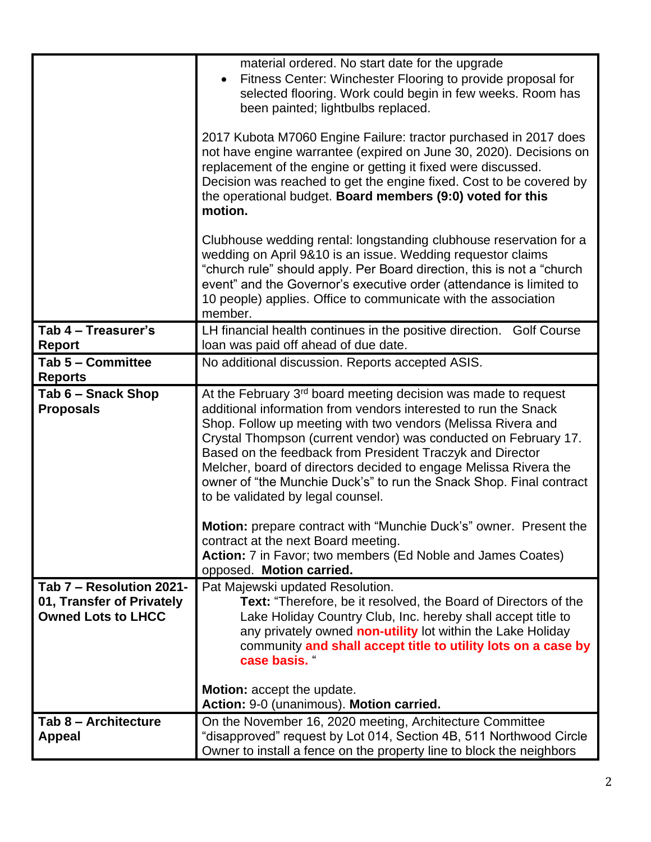|                                                                                    | material ordered. No start date for the upgrade<br>Fitness Center: Winchester Flooring to provide proposal for<br>selected flooring. Work could begin in few weeks. Room has<br>been painted; lightbulbs replaced.                                                                                                                                                                                                                                                                                                            |
|------------------------------------------------------------------------------------|-------------------------------------------------------------------------------------------------------------------------------------------------------------------------------------------------------------------------------------------------------------------------------------------------------------------------------------------------------------------------------------------------------------------------------------------------------------------------------------------------------------------------------|
|                                                                                    | 2017 Kubota M7060 Engine Failure: tractor purchased in 2017 does<br>not have engine warrantee (expired on June 30, 2020). Decisions on<br>replacement of the engine or getting it fixed were discussed.<br>Decision was reached to get the engine fixed. Cost to be covered by<br>the operational budget. Board members (9:0) voted for this<br>motion.                                                                                                                                                                       |
|                                                                                    | Clubhouse wedding rental: longstanding clubhouse reservation for a<br>wedding on April 9&10 is an issue. Wedding requestor claims<br>"church rule" should apply. Per Board direction, this is not a "church<br>event" and the Governor's executive order (attendance is limited to<br>10 people) applies. Office to communicate with the association<br>member.                                                                                                                                                               |
| Tab 4 - Treasurer's<br><b>Report</b>                                               | LH financial health continues in the positive direction. Golf Course<br>loan was paid off ahead of due date.                                                                                                                                                                                                                                                                                                                                                                                                                  |
| Tab 5 - Committee                                                                  | No additional discussion. Reports accepted ASIS.                                                                                                                                                                                                                                                                                                                                                                                                                                                                              |
| <b>Reports</b>                                                                     |                                                                                                                                                                                                                                                                                                                                                                                                                                                                                                                               |
| Tab 6 - Snack Shop<br><b>Proposals</b>                                             | At the February 3 <sup>rd</sup> board meeting decision was made to request<br>additional information from vendors interested to run the Snack<br>Shop. Follow up meeting with two vendors (Melissa Rivera and<br>Crystal Thompson (current vendor) was conducted on February 17.<br>Based on the feedback from President Traczyk and Director<br>Melcher, board of directors decided to engage Melissa Rivera the<br>owner of "the Munchie Duck's" to run the Snack Shop. Final contract<br>to be validated by legal counsel. |
|                                                                                    | Motion: prepare contract with "Munchie Duck's" owner. Present the<br>contract at the next Board meeting.<br>Action: 7 in Favor; two members (Ed Noble and James Coates)<br>opposed. Motion carried.                                                                                                                                                                                                                                                                                                                           |
| Tab 7 - Resolution 2021-<br>01, Transfer of Privately<br><b>Owned Lots to LHCC</b> | Pat Majewski updated Resolution.<br>Text: "Therefore, be it resolved, the Board of Directors of the<br>Lake Holiday Country Club, Inc. hereby shall accept title to<br>any privately owned non-utility lot within the Lake Holiday<br>community and shall accept title to utility lots on a case by<br>case basis. "                                                                                                                                                                                                          |
|                                                                                    | Motion: accept the update.<br>Action: 9-0 (unanimous). Motion carried.                                                                                                                                                                                                                                                                                                                                                                                                                                                        |
| Tab 8 - Architecture<br><b>Appeal</b>                                              | On the November 16, 2020 meeting, Architecture Committee<br>"disapproved" request by Lot 014, Section 4B, 511 Northwood Circle<br>Owner to install a fence on the property line to block the neighbors                                                                                                                                                                                                                                                                                                                        |